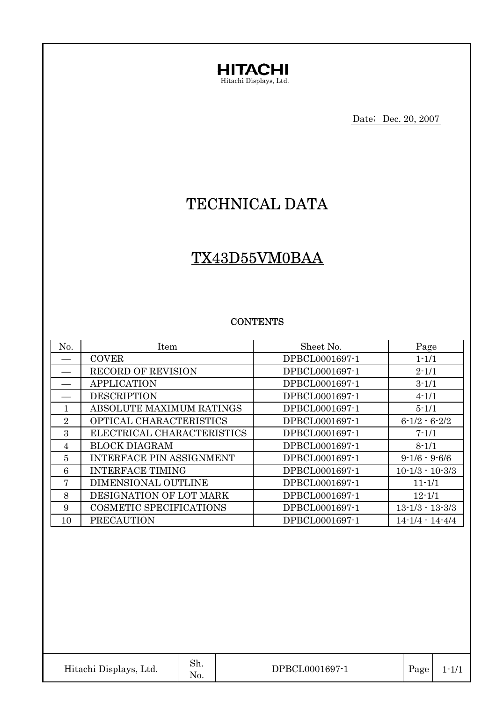

Date; Dec. 20, 2007

# TECHNICAL DATA

# TX43D55VM0BAA

#### **CONTENTS**

| No. | Item                            | Sheet No.      | Page                  |
|-----|---------------------------------|----------------|-----------------------|
|     | <b>COVER</b>                    | DPBCL0001697-1 | $1 - 1/1$             |
|     | <b>RECORD OF REVISION</b>       | DPBCL0001697-1 | $2 - 1/1$             |
|     | <b>APPLICATION</b>              | DPBCL0001697-1 | $3 - 1/1$             |
|     | <b>DESCRIPTION</b>              | DPBCL0001697-1 | $4 - 1/1$             |
| 1   | ABSOLUTE MAXIMUM RATINGS        | DPBCL0001697-1 | $5 - 1/1$             |
| 2   | OPTICAL CHARACTERISTICS         | DPBCL0001697-1 | $6 - 1/2 - 6 - 2/2$   |
| 3   | ELECTRICAL CHARACTERISTICS      | DPBCL0001697-1 | $7 - 1/1$             |
| 4   | <b>BLOCK DIAGRAM</b>            | DPBCL0001697-1 | $8 - 1/1$             |
| 5   | <b>INTERFACE PIN ASSIGNMENT</b> | DPBCL0001697-1 | $9 - 1/6 - 9 - 6/6$   |
| 6   | <b>INTERFACE TIMING</b>         | DPBCL0001697-1 | $10 - 1/3 - 10 - 3/3$ |
| 7   | DIMENSIONAL OUTLINE             | DPBCL0001697-1 | $11 - 1/1$            |
| 8   | DESIGNATION OF LOT MARK         | DPBCL0001697-1 | $12 - 1/1$            |
| 9   | COSMETIC SPECIFICATIONS         | DPBCL0001697-1 | $13 - 1/3 - 13 - 3/3$ |
| 10  | <b>PRECAUTION</b>               | DPBCL0001697-1 | $14 - 1/4 - 14 - 4/4$ |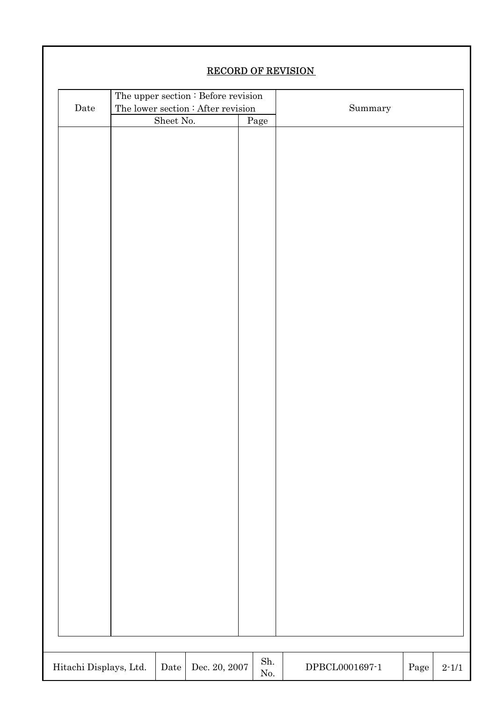|                        | <b>RECORD OF REVISION</b> |           |                                     |  |             |                             |  |      |           |
|------------------------|---------------------------|-----------|-------------------------------------|--|-------------|-----------------------------|--|------|-----------|
|                        |                           |           | The upper section : Before revision |  |             |                             |  |      |           |
| $\rm{Date}$            |                           |           | The lower section : After revision  |  | Summary     |                             |  |      |           |
|                        |                           | Sheet No. |                                     |  | Page        |                             |  |      |           |
|                        |                           |           |                                     |  |             |                             |  |      |           |
|                        |                           |           |                                     |  |             |                             |  |      |           |
|                        |                           |           |                                     |  |             |                             |  |      |           |
|                        |                           |           |                                     |  |             |                             |  |      |           |
|                        |                           |           |                                     |  |             |                             |  |      |           |
|                        |                           |           |                                     |  |             |                             |  |      |           |
|                        |                           |           |                                     |  |             |                             |  |      |           |
|                        |                           |           |                                     |  |             |                             |  |      |           |
|                        |                           |           |                                     |  |             |                             |  |      |           |
|                        |                           |           |                                     |  |             |                             |  |      |           |
|                        |                           |           |                                     |  |             |                             |  |      |           |
|                        |                           |           |                                     |  |             |                             |  |      |           |
|                        |                           |           |                                     |  |             |                             |  |      |           |
|                        |                           |           |                                     |  |             |                             |  |      |           |
|                        |                           |           |                                     |  |             |                             |  |      |           |
|                        |                           |           |                                     |  |             |                             |  |      |           |
|                        |                           |           |                                     |  |             |                             |  |      |           |
|                        |                           |           |                                     |  |             |                             |  |      |           |
|                        |                           |           |                                     |  |             |                             |  |      |           |
|                        |                           |           |                                     |  |             |                             |  |      |           |
|                        |                           |           |                                     |  |             |                             |  |      |           |
|                        |                           |           |                                     |  |             |                             |  |      |           |
|                        |                           |           |                                     |  |             |                             |  |      |           |
|                        |                           |           |                                     |  |             |                             |  |      |           |
|                        |                           |           |                                     |  |             |                             |  |      |           |
|                        |                           |           |                                     |  |             |                             |  |      |           |
|                        |                           |           |                                     |  |             |                             |  |      |           |
|                        |                           |           |                                     |  |             |                             |  |      |           |
|                        |                           |           |                                     |  |             |                             |  |      |           |
|                        |                           |           |                                     |  |             |                             |  |      |           |
|                        |                           |           |                                     |  |             |                             |  |      |           |
|                        |                           |           |                                     |  |             |                             |  |      |           |
|                        |                           |           |                                     |  |             |                             |  |      |           |
|                        |                           |           |                                     |  |             |                             |  |      |           |
|                        |                           |           |                                     |  |             |                             |  |      |           |
|                        |                           |           |                                     |  | ${\rm Sh.}$ |                             |  |      |           |
| Hitachi Displays, Ltd. |                           | Date      | Dec. 20, 2007 $\,$                  |  | $\rm No.$   | $\rm DPECL0001697\text{-}1$ |  | Page | $2 - 1/1$ |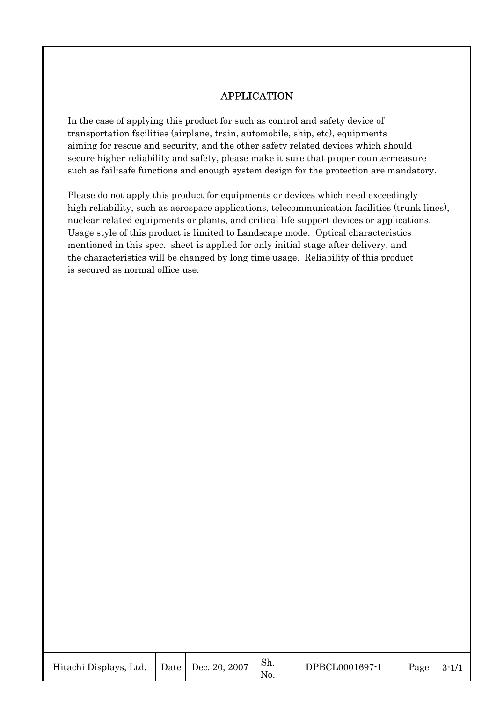## APPLICATION

In the case of applying this product for such as control and safety device of transportation facilities (airplane, train, automobile, ship, etc), equipments aiming for rescue and security, and the other safety related devices which should secure higher reliability and safety, please make it sure that proper countermeasure such as fail-safe functions and enough system design for the protection are mandatory.

Please do not apply this product for equipments or devices which need exceedingly high reliability, such as aerospace applications, telecommunication facilities (trunk lines), nuclear related equipments or plants, and critical life support devices or applications. Usage style of this product is limited to Landscape mode. Optical characteristics mentioned in this spec. sheet is applied for only initial stage after delivery, and the characteristics will be changed by long time usage. Reliability of this product is secured as normal office use.

| Hitachi Displays, Ltd. |  | Date   Dec. 20, 2007 | Sh.<br>No. | DPBCL0001697-1 | Page | $3 - 1/1$ |
|------------------------|--|----------------------|------------|----------------|------|-----------|
|------------------------|--|----------------------|------------|----------------|------|-----------|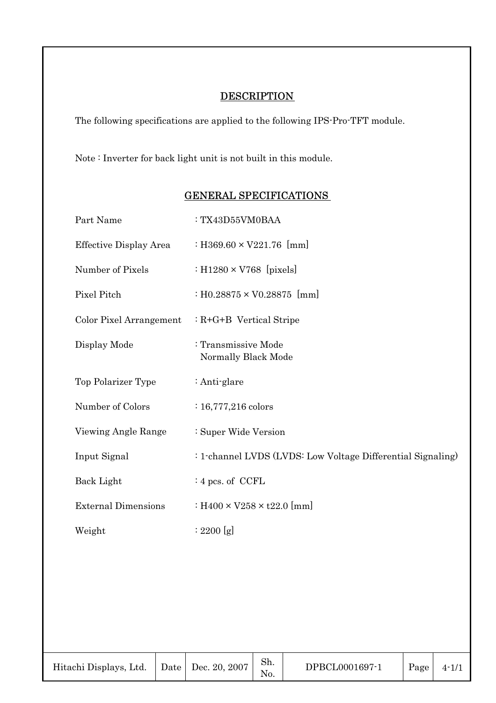## **DESCRIPTION**

The following specifications are applied to the following IPS-Pro-TFT module.

Note : Inverter for back light unit is not built in this module.

| Part Name                  | : TX43D55VM0BAA                                             |
|----------------------------|-------------------------------------------------------------|
| Effective Display Area     | : H369.60 $\times$ V221.76 [mm]                             |
| Number of Pixels           | : H1280 $\times$ V768 [pixels]                              |
| Pixel Pitch                | : H0.28875 $\times$ V0.28875 [mm]                           |
| Color Pixel Arrangement    | $: R + G + B$ Vertical Stripe                               |
| Display Mode               | : Transmissive Mode<br>Normally Black Mode                  |
| Top Polarizer Type         | : Anti-glare                                                |
| Number of Colors           | $: 16,777,216$ colors                                       |
| Viewing Angle Range        | : Super Wide Version                                        |
| Input Signal               | : 1-channel LVDS (LVDS: Low Voltage Differential Signaling) |
| Back Light                 | $: 4$ pcs. of CCFL                                          |
| <b>External Dimensions</b> | : $H400 \times V258 \times t22.0$ [mm]                      |
| Weight                     | : 2200 [g]                                                  |

## GENERAL SPECIFICATIONS

| Hitachi Displays, Ltd. |  | Date   Dec. 20, 2007 | Sh.<br>No. | DPBCL0001697-1 | Page $ $ | $4 - 1/1$ |
|------------------------|--|----------------------|------------|----------------|----------|-----------|
|------------------------|--|----------------------|------------|----------------|----------|-----------|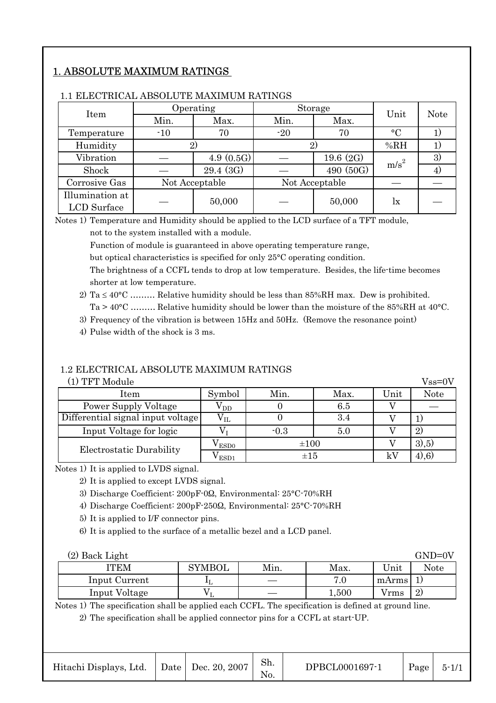# 1. ABSOLUTE MAXIMUM RATINGS

| Item            |              | Operating      |                | Storage   | Unit             | <b>Note</b> |  |
|-----------------|--------------|----------------|----------------|-----------|------------------|-------------|--|
|                 | Min.<br>Max. |                | Min.           | Max.      |                  |             |  |
| Temperature     | $-10$        | 70             | $-20$          | 70        | $\rm ^{\circ}C$  |             |  |
| Humidity        |              |                | 2)             |           | %RH              |             |  |
| Vibration       |              | 4.9(0.5G)      | 19.6 $(2G)$    |           | m/s <sup>2</sup> | 3)          |  |
| Shock           |              | 29.4 (3G)      |                | 490 (50G) |                  | 4)          |  |
| Corrosive Gas   |              | Not Acceptable | Not Acceptable |           |                  |             |  |
| Illumination at |              | 50,000         |                | 50,000    |                  |             |  |
| LCD Surface     |              |                |                |           | lx               |             |  |

#### 1.1 ELECTRICAL ABSOLUTE MAXIMUM RATINGS

Notes 1) Temperature and Humidity should be applied to the LCD surface of a TFT module,

not to the system installed with a module.

Function of module is guaranteed in above operating temperature range,

but optical characteristics is specified for only 25°C operating condition.

The brightness of a CCFL tends to drop at low temperature. Besides, the life-time becomes shorter at low temperature.

2) Ta  $\leq 40^{\circ}$ C ……… Relative humidity should be less than 85%RH max. Dew is prohibited. Ta > 40°C ……… Relative humidity should be lower than the moisture of the 85%RH at 40°C.

3) Frequency of the vibration is between 15Hz and 50Hz. (Remove the resonance point)

4) Pulse width of the shock is 3 ms.

### 1.2 ELECTRICAL ABSOLUTE MAXIMUM RATINGS

|  |  | (1) TFT Module |
|--|--|----------------|
|--|--|----------------|

| (1) TFT Module                    |                        |           |      |      | $Vss=0V$    |
|-----------------------------------|------------------------|-----------|------|------|-------------|
| Item                              | Symbol                 | Min.      | Max. | Unit | <b>Note</b> |
| Power Supply Voltage              | $\rm V_{DD}$           |           | 6.5  |      |             |
| Differential signal input voltage | ${\rm v}_{\rm IL}$     |           | 3.4  |      |             |
| Input Voltage for logic           |                        | $-0.3$    | 5.0  |      | 2)          |
| Electrostatic Durability          | ${\rm v}_{\rm\, ESD0}$ | $\pm 100$ |      |      | 3,5)        |
|                                   | ESD1                   | $\pm 15$  |      | kV   | $(4)$ , 6)  |

Notes 1) It is applied to LVDS signal.

2) It is applied to except LVDS signal.

3) Discharge Coefficient: 200pF-0Q, Environmental: 25°C-70%RH

4) Discharge Coefficient: 200pF-250Q, Environmental: 25°C-70%RH

5) It is applied to I/F connector pins.

6) It is applied to the surface of a metallic bezel and a LCD panel.

| (2) Back Light |        |      |       |       | $GND=0V$ |
|----------------|--------|------|-------|-------|----------|
| <b>ITEM</b>    | SYMBOL | Min. | Max.  | Unit  | Note     |
| Input Current  | τI     |      | 7.0   | mArms |          |
| Input Voltage  |        |      | 1,500 | Vrms  | 2        |

Notes 1) The specification shall be applied each CCFL. The specification is defined at ground line.

2) The specification shall be applied connector pins for a CCFL at start-UP.

| Hitachi Displays, Ltd. |  | Date Dec. 20, 2007 | Sh.<br>No. | DPBCL0001697-1 | Page | $5 - 1/1$ |
|------------------------|--|--------------------|------------|----------------|------|-----------|
|------------------------|--|--------------------|------------|----------------|------|-----------|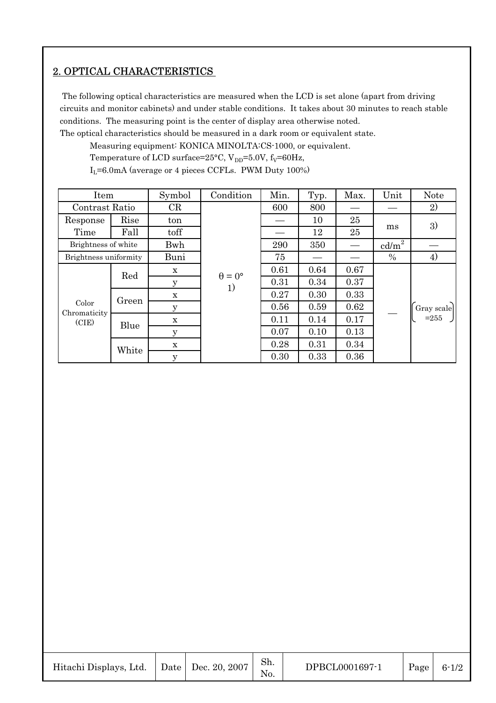# 2. OPTICAL CHARACTERISTICS

 The following optical characteristics are measured when the LCD is set alone (apart from driving circuits and monitor cabinets) and under stable conditions. It takes about 30 minutes to reach stable conditions. The measuring point is the center of display area otherwise noted.

The optical characteristics should be measured in a dark room or equivalent state.

Measuring equipment: KONICA MINOLTA:CS-1000, or equivalent.

Temperature of LCD surface=25°C,  $V_{DD}$ =5.0V,  $f_V$ =60Hz,

 $I_L$ =6.0mA (average or 4 pieces CCFLs. PWM Duty 100%)

| Item                  |       | Symbol      | Condition            | Min. | Typ. | Max. | Unit            | <b>Note</b> |
|-----------------------|-------|-------------|----------------------|------|------|------|-----------------|-------------|
| Contrast Ratio        |       | CR          |                      | 600  | 800  |      |                 | 2)          |
| Response              | Rise  | ton         |                      |      | 10   | 25   |                 | 3)          |
| Time                  | Fall  | toff        |                      |      | 12   | 25   | ms              |             |
| Brightness of white   |       | Bwh         |                      | 290  | 350  |      | $\text{cd/m}^2$ |             |
| Brightness uniformity |       | Buni        |                      | 75   |      |      | $\%$            | 4)          |
|                       | Red   | $\mathbf X$ | $\theta = 0^{\circ}$ | 0.61 | 0.64 | 0.67 |                 |             |
|                       |       | $\mathbf y$ | 1)                   | 0.31 | 0.34 | 0.37 |                 |             |
|                       | Green | $\mathbf X$ |                      | 0.27 | 0.30 | 0.33 |                 |             |
| Color<br>Chromaticity |       | У           |                      | 0.56 | 0.59 | 0.62 |                 | Gray scale  |
| (CIE)                 | Blue  | $\mathbf X$ |                      | 0.11 | 0.14 | 0.17 |                 | $= 255$     |
|                       |       | y           |                      | 0.07 | 0.10 | 0.13 |                 |             |
|                       | White | $\mathbf x$ |                      | 0.28 | 0.31 | 0.34 |                 |             |
|                       |       | $\mathbf y$ |                      | 0.30 | 0.33 | 0.36 |                 |             |

| Hitachi Displays, Ltd. |  | Date   Dec. 20, 2007 | Sh. | DPBCL0001697-1 | $ $ Page $ $ | $6 - 1/2$ |
|------------------------|--|----------------------|-----|----------------|--------------|-----------|
|------------------------|--|----------------------|-----|----------------|--------------|-----------|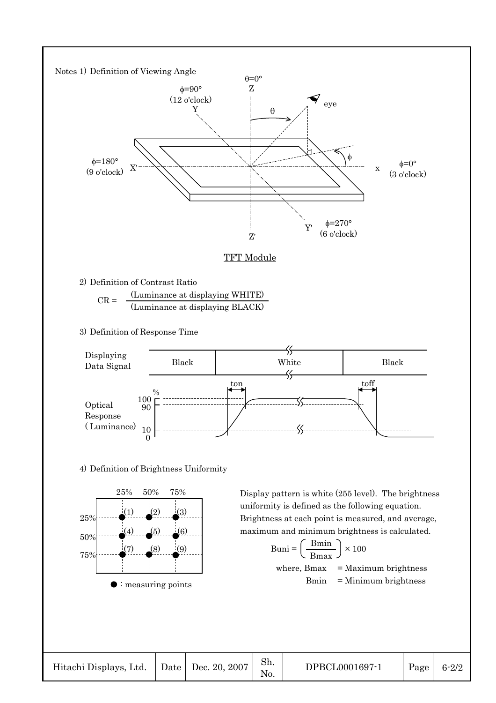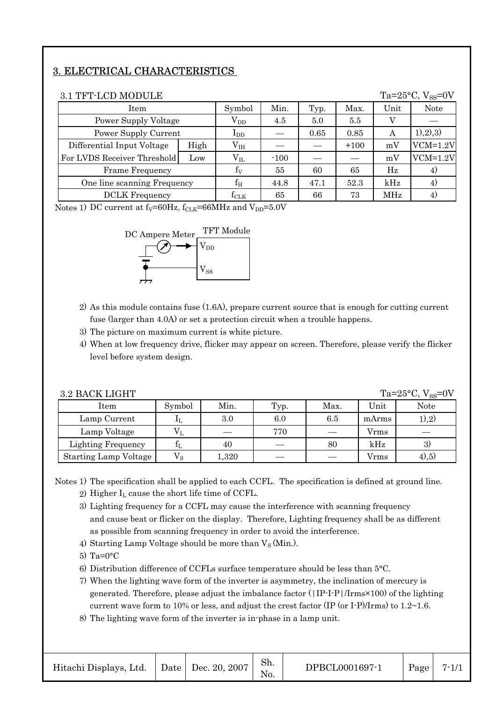# 3. ELECTRICAL CHARACTERISTICS

| 3.1 TFT-LCD MODULE          |      |                 |        |      |        |      | Ta= $25^{\circ}$ C, V <sub>ss</sub> =0V |
|-----------------------------|------|-----------------|--------|------|--------|------|-----------------------------------------|
| Item                        |      | Symbol          | Min.   | Typ. | Max.   | Unit | Note                                    |
| Power Supply Voltage        |      | $\rm V_{DD}$    | 4.5    | 5.0  | 5.5    |      |                                         |
| Power Supply Current        |      | $\rm I_{DD}$    |        | 0.65 | 0.85   | А    | (1), (2), (3)                           |
| Differential Input Voltage  | High | V <sub>IH</sub> |        |      | $+100$ | mV   | $VCM=1.2V$                              |
| For LVDS Receiver Threshold | Low  | $V_{IL}$        | $-100$ |      |        | mV   | $VCM=1.2V$                              |
| Frame Frequency             |      | $f_V$           | 55     | 60   | 65     | Hz   | 4)                                      |
| One line scanning Frequency |      | $\rm f_{H}$     | 44.8   | 47.1 | 52.3   | kHz  | 4)                                      |
| <b>DCLK</b> Frequency       |      | $\rm\,f_{CLK}$  | 65     | 66   | 73     | MHz  | 4)                                      |

Notes 1) DC current at  $f_V = 60Hz$ ,  $f_{CLK} = 66MHz$  and  $V_{DD} = 5.0V$ 



- 2) As this module contains fuse (1.6A), prepare current source that is enough for cutting current fuse (larger than 4.0A) or set a protection circuit when a trouble happens.
- 3) The picture on maximum current is white picture.
- 4) When at low frequency drive, flicker may appear on screen. Therefore, please verify the flicker level before system design.

| 3.2 BACK LIGHT               |             |       |      |      |       | Ta= $25^{\circ}$ C, V <sub>ss</sub> =0V |
|------------------------------|-------------|-------|------|------|-------|-----------------------------------------|
| Item                         | Symbol      | Min.  | Typ. | Max. | Unit  | <b>Note</b>                             |
| Lamp Current                 |             | 3.0   | 6.0  | 6.5  | mArms | 1), 2)                                  |
| Lamp Voltage                 |             |       | 770  |      | Vrms  |                                         |
| <b>Lighting Frequency</b>    |             | 40    |      | 80   | kHz   | 3)                                      |
| <b>Starting Lamp Voltage</b> | $V_{\rm S}$ | 1,320 |      |      | Vrms  | 4,5)                                    |

Notes 1) The specification shall be applied to each CCFL. The specification is defined at ground line. 2) Higher  $I_L$  cause the short life time of CCFL.

- 3) Lighting frequency for a CCFL may cause the interference with scanning frequency and cause beat or flicker on the display. Therefore, Lighting frequency shall be as different as possible from scanning frequency in order to avoid the interference.
- 4) Starting Lamp Voltage should be more than  $V_S(Min)$ .
- 5) Ta=0°C
- 6) Distribution difference of CCFLs surface temperature should be less than 5°C.
- 7) When the lighting wave form of the inverter is asymmetry, the inclination of mercury is generated. Therefore, please adjust the imbalance factor (|IP-I-P|/Irms×100) of the lighting current wave form to 10% or less, and adjust the crest factor (IP (or I-P)/Irms) to  $1.2 \sim 1.6$ .
- 8) The lighting wave form of the inverter is in-phase in a lamp unit.

| Hitachi Displays, Ltd. |  | Date   Dec. 20, 2007 | Sh. | DPBCL0001697-1 | Page | $7 - 1/$ |
|------------------------|--|----------------------|-----|----------------|------|----------|
|------------------------|--|----------------------|-----|----------------|------|----------|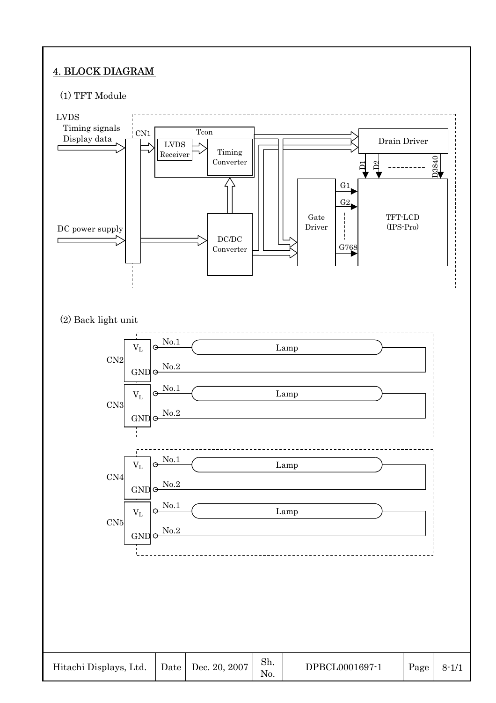# 4. BLOCK DIAGRAM

#### (1) TFT Module

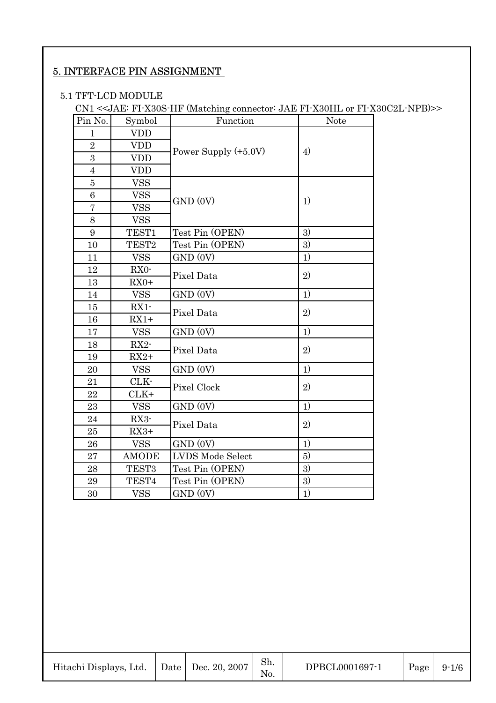# 5. INTERFACE PIN ASSIGNMENT

#### 5.1 TFT-LCD MODULE

CN1 <<JAE: FI-X30S-HF (Matching connector: JAE FI-X30HL or FI-X30C2L-NPB)>>

| Pin No.          | Symbol            | Function               | <b>Note</b> |
|------------------|-------------------|------------------------|-------------|
| $\mathbf{1}$     | <b>VDD</b>        |                        |             |
| $\overline{2}$   | <b>VDD</b>        |                        |             |
| 3                | <b>VDD</b>        | Power Supply $(+5.0V)$ | 4)          |
| $\overline{4}$   | <b>VDD</b>        |                        |             |
| $\overline{5}$   | <b>VSS</b>        |                        |             |
| $\,6$            | <b>VSS</b>        | GND (0V)               | 1)          |
| $\overline{7}$   | <b>VSS</b>        |                        |             |
| 8                | <b>VSS</b>        |                        |             |
| $\boldsymbol{9}$ | TEST1             | Test Pin (OPEN)        | 3)          |
| 10               | TEST <sub>2</sub> | Test Pin (OPEN)        | 3)          |
| 11               | <b>VSS</b>        | GND (0V)               | 1)          |
| 12               | RX0-              | Pixel Data             | 2)          |
| 13               | $RX0+$            |                        |             |
| 14               | <b>VSS</b>        | GND (0V)               | 1)          |
| 15               | $RX1 -$           | Pixel Data             | 2)          |
| 16               | $RX1+$            |                        |             |
| 17               | <b>VSS</b>        | GND (0V)               | 1)          |
| 18               | $RX2-$            | Pixel Data             | 2)          |
| 19               | $RX2+$            |                        |             |
| 20               | <b>VSS</b>        | GND (0V)               | 1)          |
| 21               | CLK-              | Pixel Clock            | 2)          |
| 22               | $CLK+$            |                        |             |
| 23               | <b>VSS</b>        | GND (0V)               | 1)          |
| 24               | RX3-              | Pixel Data             | 2)          |
| 25               | $RX3+$            |                        |             |
| 26               | <b>VSS</b>        | GND (0V)               | 1)          |
| 27               | <b>AMODE</b>      | LVDS Mode Select       | 5)          |
| 28               | TEST3             | Test Pin (OPEN)        | 3)          |
| 29               | TEST4             | Test Pin (OPEN)        | 3)          |
| 30               | <b>VSS</b>        | GND (0V)               | 1)          |

| Hitachi Displays, Ltd. | Date   Dec. 20, 2007 | OII.<br>No. | DPBCL0001697-1 | Page | $9 - 1/6$ |
|------------------------|----------------------|-------------|----------------|------|-----------|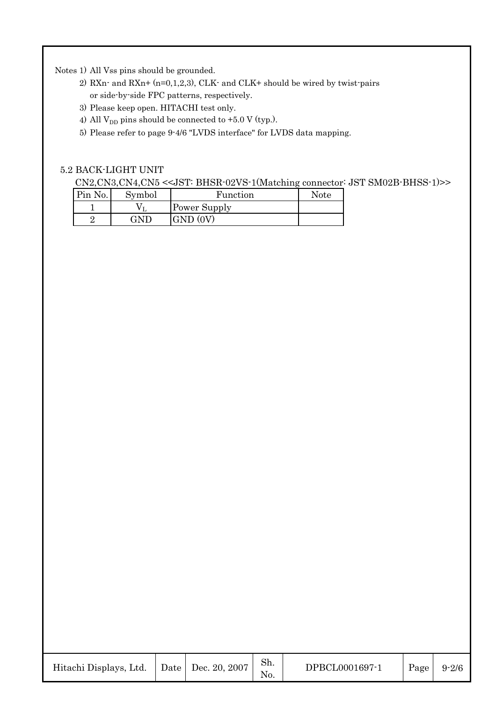Notes 1) All Vss pins should be grounded.

- 2) RXn- and RXn+  $(n=0,1,2,3)$ , CLK- and CLK+ should be wired by twist-pairs or side-by-side FPC patterns, respectively.
- 3) Please keep open. HITACHI test only.
- 4) All  $V_{DD}$  pins should be connected to +5.0 V (typ.).
- 5) Please refer to page 9-4/6 "LVDS interface" for LVDS data mapping.

#### 5.2 BACK-LIGHT UNIT

CN2,CN3,CN4,CN5 <<JST: BHSR-02VS-1(Matching connector: JST SM02B-BHSS-1)>>

| Pin No. | Symbol    | Function     | Note |
|---------|-----------|--------------|------|
|         |           | Power Supply |      |
|         | $\lambda$ | <b>GND</b>   |      |

| Hitachi Displays, Ltd. |  | $\vert$ Date $\vert$ Dec. 20, 2007 | $\mathbf{L}$ | DPBCL0001697-1 | Page | $9 - 2/6$ |
|------------------------|--|------------------------------------|--------------|----------------|------|-----------|
|------------------------|--|------------------------------------|--------------|----------------|------|-----------|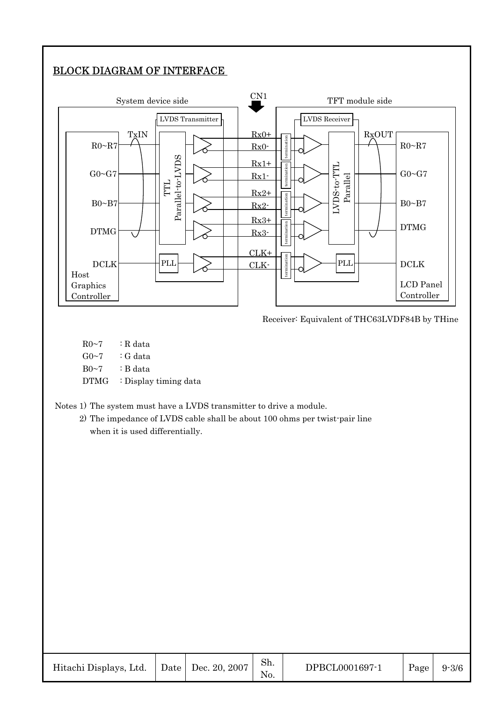# BLOCK DIAGRAM OF INTERFACE



Receiver: Equivalent of THC63LVDF84B by THine

 $R0~1$  : R data  $G_0 \sim 7$  : G data  $B0~7$  : B data DTMG : Display timing data

Notes 1) The system must have a LVDS transmitter to drive a module.

2) The impedance of LVDS cable shall be about 100 ohms per twist-pair line when it is used differentially.

| Hitachi Displays, Ltd. |  | Date   Dec. 20, 2007 | Sh.<br>N <sub>O</sub> | DPBCL0001697-1 | Page | $9 - 3/6$ |
|------------------------|--|----------------------|-----------------------|----------------|------|-----------|
|------------------------|--|----------------------|-----------------------|----------------|------|-----------|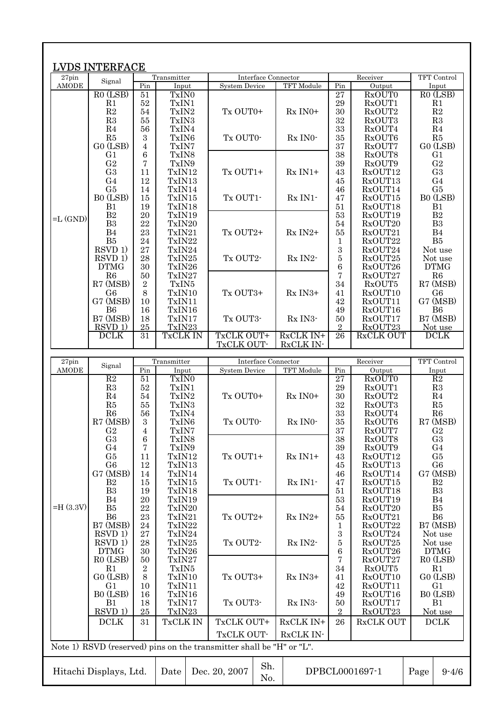|                       | <b>LVDS INTERFACE</b>             |                  |                      |                                                                      |                        |                          |                    |                                  |
|-----------------------|-----------------------------------|------------------|----------------------|----------------------------------------------------------------------|------------------------|--------------------------|--------------------|----------------------------------|
| 27pin<br><b>AMODE</b> | Signal                            | Pin              | Transmitter<br>Input | Interface Connector<br><b>System Device</b>                          | TFT Module             | Pin                      | Receiver<br>Output | TFT Control<br>Input             |
|                       | $RO$ (LSB)                        | 51               | TxIN0                |                                                                      |                        | 27                       | <b>RxOUT0</b>      | $RO$ (LSB)                       |
|                       | R1                                | 52               | TxIN1                |                                                                      |                        | $\,29$                   | RxOUT1             | R1                               |
|                       | R2                                | 54               | TxIN2                | Tx OUT0+                                                             | $Rx$ IN0+              | 30                       | RxOUT2             | R2                               |
|                       | R3                                | 55               | TxIN3                |                                                                      |                        | 32                       | RxOUT3             | R3                               |
|                       | R <sub>4</sub><br>R5              | 56<br>3          | TxIN4<br>TxIN6       | Tx OUT0-                                                             | Rx INO-                | 33<br>35                 | RxOUT4<br>RxOUT6   | R <sub>4</sub><br>R5             |
|                       | GO (LSB)                          | 4                | TxIN7                |                                                                      |                        | 37                       | RxOUT7             | GO (LSB)                         |
|                       | G <sub>1</sub>                    | 6                | TxIN8                |                                                                      |                        | 38                       | RxOUT8             | G1                               |
|                       | G <sub>2</sub>                    | 7                | TxIN9                |                                                                      |                        | 39                       | RxOUT9             | ${\rm G}2$                       |
|                       | G <sub>3</sub>                    | 11               | TxIN12               | Tx OUT1+                                                             | $Rx IN1+$              | 43                       | RxOUT12            | G <sub>3</sub>                   |
|                       | G4                                | 12               | TxIN13               |                                                                      |                        | 45                       | RxOUT13            | G <sub>4</sub><br>G5             |
|                       | G <sub>5</sub><br>B0 (LSB)        | 14<br>15         | TxIN14<br>TxIN15     | Tx OUT1-                                                             | $Rx$ IN1 $-$           | 46<br>47                 | RxOUT14<br>RxOUT15 | B0 (LSB)                         |
|                       | B1                                | 19               | TxIN18               |                                                                      |                        | 51                       | RxOUT18            | B1                               |
| $=L$ (GND)            | B2                                | 20               | TxIN19               |                                                                      |                        | 53                       | RxOUT19            | $\mathbf{B}2$                    |
|                       | B3                                | 22               | TxIN20               |                                                                      |                        | 54                       | RxOUT20            | B <sub>3</sub>                   |
|                       | B <sub>4</sub>                    | 23               | TxIN21               | Tx OUT2+                                                             | Rx IN2+                | 55                       | RxOUT21            | B4                               |
|                       | B <sub>5</sub>                    | 24               | TxIN22               |                                                                      |                        | 1                        | RxOUT22            | B5                               |
|                       | RSVD 1)<br>RSVD 1)                | 27<br>28         | TxIN24<br>TxIN25     | Tx OUT2-                                                             | $Rx$ IN2 $-$           | $\,3$<br>5               | RxOUT24<br>RxOUT25 | Not use<br>Not use               |
|                       | <b>DTMG</b>                       | 30               | TxIN26               |                                                                      |                        | $\,6\,$                  | RxOUT26            | <b>DTMG</b>                      |
|                       | R6                                | 50               | TxIN27               |                                                                      |                        | 7                        | RxOUT27            | R6                               |
|                       | R7 (MSB)                          | $\boldsymbol{2}$ | TxIN5                |                                                                      |                        | 34                       | RxOUT5             | R7 (MSB)                         |
|                       | G <sub>6</sub>                    | 8                | TxIN10               | Tx OUT3+                                                             | Rx IN3+                | 41                       | RxOUT10            | G <sub>6</sub>                   |
|                       | G7 (MSB)                          | 10               | TxIN11               |                                                                      |                        | 42                       | RxOUT11            | G7 (MSB)                         |
|                       | B <sub>6</sub><br>B7 (MSB)        | 16<br>18         | TxIN16<br>TxIN17     | Tx OUT3-                                                             | Rx IN3-                | 49<br>50                 | RxOUT16<br>RxOUT17 | B <sub>6</sub><br>B7 (MSB)       |
|                       | RSVD 1)                           | 25               | TxIN23               |                                                                      |                        | $\overline{2}$           | RxOUT23            | Not use                          |
|                       | <b>DCLK</b>                       | 31               | TxCLK IN             | TxCLK OUT+                                                           | RxCLK IN+              | 26                       | <b>RxCLK OUT</b>   | <b>DCLK</b>                      |
|                       |                                   |                  |                      | TxCLK OUT-                                                           | RxCLK IN-              |                          |                    |                                  |
| 27pin                 |                                   |                  | Transmitter          | Interface Connector                                                  |                        |                          | Receiver           | TFT Control                      |
| <b>AMODE</b>          | Signal                            | Pin              | Input                | <b>System Device</b>                                                 | TFT Module             | Pin                      | Output             | Input                            |
|                       | R2                                | 51               | TxIN <sub>0</sub>    |                                                                      |                        | $\overline{27}$          | RxOUT0             | R <sub>2</sub>                   |
|                       | R3<br>R <sub>4</sub>              | 52               | TxIN1                | Tx OUT0+                                                             | $Rx$ IN <sub>0</sub> + | 29<br>30                 | RxOUT1             | R3<br>R <sub>4</sub>             |
|                       | R5                                | 54<br>55         | TxIN2<br>TxIN3       |                                                                      |                        | 32                       | RxOUT2<br>RxOUT3   | R5                               |
|                       | R <sub>6</sub>                    | 56               | TxIN4                |                                                                      |                        | 33                       | RxOUT4             | R <sub>6</sub>                   |
|                       | $R7$ (MSB)                        | 3                | TxIN6                | Tx OUT0-                                                             | Rx INO-                | 35                       | RxOUT6             | $R7$ (MSB)                       |
|                       | G <sub>2</sub>                    | 4                | TxIN7                |                                                                      |                        | 37                       | RxOUT7             | G <sub>2</sub>                   |
|                       | G <sub>3</sub>                    | 6                | TxIN8                |                                                                      |                        | 38                       | RxOUT8             | G <sub>3</sub>                   |
|                       | G <sub>4</sub>                    | 7                | TxIN9                |                                                                      |                        | $39\,$                   | RxOUT9             | G <sub>4</sub>                   |
|                       | G5<br>G <sub>6</sub>              | 11<br>12         | TxIN12<br>TxIN13     | Tx OUT1+                                                             | $Rx IN1+$              | 43<br>45                 | RxOUT12<br>RxOUT13 | G5<br>G <sub>6</sub>             |
|                       | G7 (MSB)                          | 14               | TxIN14               |                                                                      |                        |                          | RxOUT14            | G7 (MSB)                         |
|                       | B <sub>2</sub>                    |                  |                      |                                                                      |                        |                          |                    |                                  |
|                       |                                   |                  |                      |                                                                      |                        | 46                       |                    |                                  |
|                       | B3                                | 15<br>19         | TxIN15<br>TxIN18     | Tx OUT1-                                                             | Rx IN1-                | 47<br>51                 | RxOUT15<br>RxOUT18 | B <sub>2</sub><br>B <sub>3</sub> |
|                       | B <sub>4</sub>                    | 20               | TxIN19               |                                                                      |                        | 53                       | RxOUT19            | B <sub>4</sub>                   |
|                       | B5                                | 22               | TxIN20               |                                                                      |                        | 54                       | RxOUT20            | B <sub>5</sub>                   |
|                       | B <sub>6</sub>                    | 23               | TxIN21               | Tx OUT2+                                                             | $Rx IN2+$              | $55\,$                   | RxOUT21            | B <sub>6</sub>                   |
|                       | B7 (MSB)                          | 24               | TxIN22               |                                                                      |                        | 1                        | RxOUT22            | B7 (MSB)                         |
|                       | RSVD 1)                           | 27               | TxIN24               |                                                                      |                        | $\boldsymbol{3}$         | RxOUT24            | Not use                          |
|                       | RSVD 1)<br><b>DTMG</b>            | 28<br>30         | TxIN25               | Tx OUT2-                                                             | Rx IN2-                | 5<br>$\,6\,$             | RxOUT25<br>RxOUT26 | Not use<br><b>DTMG</b>           |
|                       | R <sub>0</sub> (LS <sub>B</sub> ) | 50               | TxIN26<br>TxIN27     |                                                                      |                        | 7                        | RxOUT27            | RO (LSB)                         |
|                       | R1                                | $\sqrt{2}$       | TxIN5                |                                                                      |                        | 34                       | RxOUT5             | R1                               |
|                       | GO (LSB)                          | 8                | TxIN10               | Tx OUT3+                                                             | Rx IN3+                | 41                       | RxOUT10            | GO (LSB)                         |
|                       | G <sub>1</sub>                    | 10               | TxIN11               |                                                                      |                        | 42                       | RxOUT11            | G <sub>1</sub>                   |
|                       | B0 (LSB)                          | 16               | TxIN16               |                                                                      |                        | 49                       | RxOUT16            | B0 (LSB)<br>B1                   |
|                       | B1<br>RSVD1                       | 18<br>25         | TxIN17<br>TxIN23     | Tx OUT3-                                                             | Rx IN3-                | $50\,$<br>$\overline{2}$ | RxOUT17<br>RxOUT23 | Not use                          |
|                       | <b>DCLK</b>                       | 31               | TxCLK IN             | TxCLK OUT+                                                           | RxCLK IN+              | 26                       | RxCLK OUT          | $\operatorname{DCLK}$            |
|                       |                                   |                  |                      | TxCLK OUT-                                                           | RxCLK IN-              |                          |                    |                                  |
| $=$ H $(3.3V)$        |                                   |                  |                      | Note 1) RSVD (reserved) pins on the transmitter shall be "H" or "L". |                        |                          |                    |                                  |
|                       |                                   |                  |                      |                                                                      |                        |                          |                    |                                  |
|                       | Hitachi Displays, Ltd.            |                  | Date                 | Sh.<br>Dec. 20, 2007<br>No.                                          |                        |                          | DPBCL0001697-1     | Page<br>$9 - 4/6$                |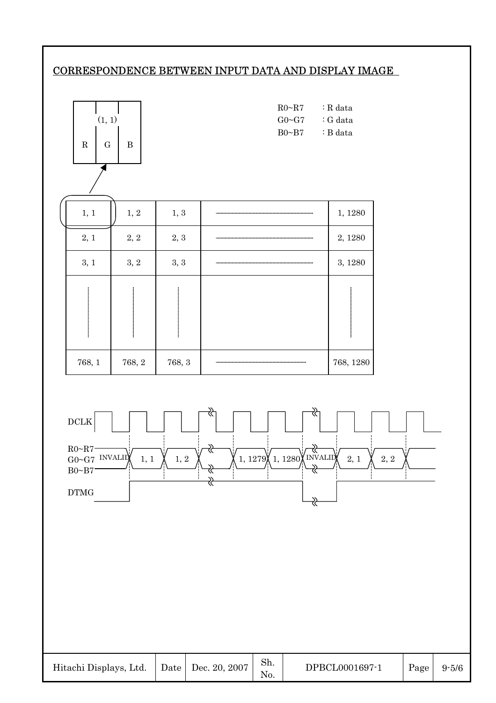## CORRESPONDENCE BETWEEN INPUT DATA AND DISPLAY IMAGE



| Hitachi Displays, Ltd.   Date   Dec. 20, 2007 |  |  | Sh. | DPBCL0001697-1 | Page | $9 - 5/6$ |
|-----------------------------------------------|--|--|-----|----------------|------|-----------|
|-----------------------------------------------|--|--|-----|----------------|------|-----------|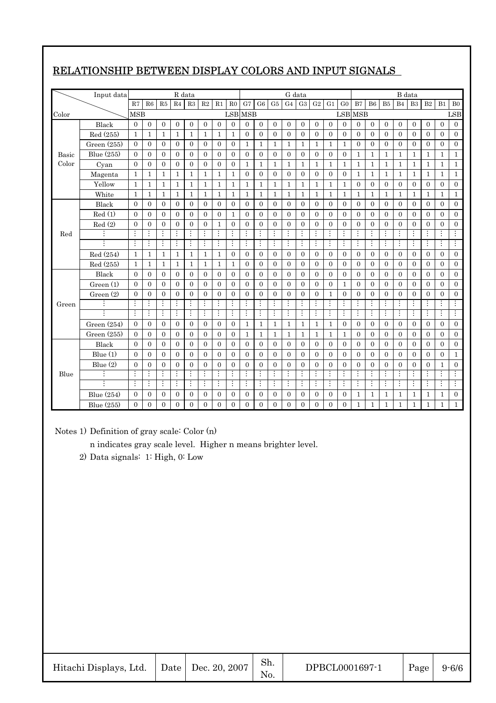|       | Input data    |                |                |                | R data         |                |                  |                         |                |                  |                  |                         |                  | G data           |                  |                    |                  |                  |                  |                  |                | B data           |                |                  |                  |
|-------|---------------|----------------|----------------|----------------|----------------|----------------|------------------|-------------------------|----------------|------------------|------------------|-------------------------|------------------|------------------|------------------|--------------------|------------------|------------------|------------------|------------------|----------------|------------------|----------------|------------------|------------------|
|       |               | R7             | R6             | R5             | R <sub>4</sub> | R3             | R <sub>2</sub>   | R1                      | R <sub>0</sub> | G7               | G <sub>6</sub>   | G5                      | G <sub>4</sub>   | G3               | G2               | G1                 | G <sub>0</sub>   | B7               | B <sub>6</sub>   | B <sub>5</sub>   | B <sub>4</sub> | B <sub>3</sub>   | B <sub>2</sub> | B1               | B <sub>0</sub>   |
| Color |               | <b>MSB</b>     |                |                |                |                |                  |                         |                | <b>LSB MSB</b>   |                  |                         |                  |                  |                  |                    |                  | <b>LSB</b> MSB   |                  |                  |                |                  |                |                  | <b>LSB</b>       |
|       | Black         | $\overline{0}$ | $\overline{0}$ | $\overline{0}$ | $\mathbf{0}$   | $\overline{0}$ | $\overline{0}$   | $\overline{0}$          | $\overline{0}$ | $\overline{0}$   | $\overline{0}$   | $\overline{0}$          | $\overline{0}$   | $\mathbf{0}$     | $\overline{0}$   | $\overline{0}$     | $\overline{0}$   | $\overline{0}$   | $\mathbf{0}$     | $\overline{0}$   | $\mathbf{0}$   | $\boldsymbol{0}$ | $\mathbf{0}$   | $\overline{0}$   | $\mathbf{0}$     |
|       | Red (255)     | 1              | 1              | 1              | 1              | 1              | 1                | 1                       | 1              | $\overline{0}$   | $\overline{0}$   | $\overline{0}$          | $\overline{0}$   | $\mathbf{0}$     | $\mathbf{0}$     | $\overline{0}$     | $\overline{0}$   | $\overline{0}$   | $\mathbf{0}$     | $\overline{0}$   | $\mathbf{0}$   | $\overline{0}$   | $\mathbf{0}$   | $\overline{0}$   | $\overline{0}$   |
|       | Green $(255)$ | $\theta$       | $\overline{0}$ | $\overline{0}$ | $\mathbf{0}$   | $\overline{0}$ | $\overline{0}$   | $\overline{0}$          | $\overline{0}$ | 1                | 1                | 1                       | $\mathbf 1$      | 1                | $\mathbf{1}$     | $\mathbf{1}$       | $\mathbf{1}$     | $\boldsymbol{0}$ | $\mathbf{0}$     | $\boldsymbol{0}$ | $\mathbf{0}$   | $\boldsymbol{0}$ | $\overline{0}$ | $\boldsymbol{0}$ | $\boldsymbol{0}$ |
| Basic | Blue (255)    | $\Omega$       | $\mathbf{0}$   | $\overline{0}$ | $\overline{0}$ | $\overline{0}$ | $\overline{0}$   | $\overline{0}$          | $\overline{0}$ | $\overline{0}$   | $\overline{0}$   | $\mathbf{0}$            | $\overline{0}$   | $\overline{0}$   | $\overline{0}$   | $\overline{0}$     | $\overline{0}$   | $\mathbf{1}$     | $\mathbf{1}$     | $\mathbf{1}$     | $\mathbf{1}$   | $\mathbf{1}$     | $\mathbf{1}$   | $\mathbf{1}$     | $\mathbf{1}$     |
| Color | Cyan          | $\Omega$       | $\mathbf{0}$   | $\Omega$       | $\mathbf{0}$   | $\overline{0}$ | $\overline{0}$   | $\overline{0}$          | $\overline{0}$ | $\mathbf{1}$     | 1                | $\mathbf{1}$            | $\mathbf{1}$     | $\mathbf{1}$     | 1                | 1                  | 1                | 1                | 1                | 1                | $\mathbf{1}$   | $\mathbf{1}$     | $\mathbf{1}$   | 1                | $\mathbf{1}$     |
|       | Magenta       | $\mathbf{1}$   | $\mathbf{1}$   | $\mathbf{1}$   | $\mathbf{1}$   | $\mathbf{1}$   | $\mathbf{1}$     | $\mathbf{1}$            | $\mathbf{1}$   | $\boldsymbol{0}$ | $\boldsymbol{0}$ | $\boldsymbol{0}$        | $\boldsymbol{0}$ | $\boldsymbol{0}$ | $\boldsymbol{0}$ | $\boldsymbol{0}$   | $\boldsymbol{0}$ | 1                | $\mathbf 1$      | 1                | $\mathbf{1}$   | $\mathbf{1}$     | $\mathbf{1}$   | $\mathbf{1}$     | $\mathbf{1}$     |
|       | Yellow        | $\mathbf{1}$   | $\mathbf{1}$   | $\mathbf{1}$   | $\mathbf{1}$   | $\mathbf{1}$   | $\mathbf{1}$     | $\mathbf{1}$            | $\mathbf{1}$   | $\mathbf{1}$     | $\mathbf{1}$     | $\mathbf{1}$            | $\mathbf{1}$     | $\mathbf{1}$     | $\mathbf{1}$     | $\mathbf{1}$       | $\mathbf{1}$     | $\overline{0}$   | $\overline{0}$   | $\boldsymbol{0}$ | $\overline{0}$ | $\overline{0}$   | $\overline{0}$ | $\overline{0}$   | $\overline{0}$   |
|       | White         | $\overline{1}$ | $\mathbf{1}$   | 1              | 1              | 1              | 1                | 1                       | $\mathbf{1}$   | $\mathbf{1}$     | $\mathbf{1}$     | $\mathbf{1}$            | $\mathbf{1}$     | $\mathbf{1}$     | $\mathbf{1}$     | $\mathbf{1}$       | $\mathbf{1}$     | 1                | $\mathbf{1}$     | $\mathbf{1}$     | $\mathbf{1}$   | $\mathbf{1}$     | $\mathbf{1}$   | $\mathbf{1}$     | $\mathbf{1}$     |
|       | Black         | $\Omega$       | $\Omega$       | $\Omega$       | $\Omega$       | $\Omega$       | $\overline{0}$   | $\Omega$                | $\overline{0}$ | $\Omega$         | $\overline{0}$   | $\overline{0}$          | $\mathbf{0}$     | $\Omega$         | $\overline{0}$   | $\overline{0}$     | $\overline{0}$   | $\overline{0}$   | $\mathbf{0}$     | $\overline{0}$   | $\mathbf{0}$   | $\mathbf{0}$     | $\mathbf{0}$   | $\Omega$         | $\mathbf{0}$     |
|       | Red(1)        | $\overline{0}$ | $\overline{0}$ | $\overline{0}$ | $\mathbf{0}$   | $\overline{0}$ | $\overline{0}$   | $\overline{0}$          | $\mathbf{1}$   | $\mathbf{0}$     | $\overline{0}$   | $\overline{0}$          | $\mathbf{0}$     | $\overline{0}$   | $\overline{0}$   | $\overline{0}$     | $\overline{0}$   | $\overline{0}$   | $\overline{0}$   | $\overline{0}$   | $\overline{0}$ | $\theta$         | $\overline{0}$ | $\mathbf{0}$     | $\mathbf{0}$     |
|       | Red(2)        | $\overline{0}$ | $\overline{0}$ | $\overline{0}$ | $\overline{0}$ | $\overline{0}$ | $\overline{0}$   | $\mathbf{1}$            | $\overline{0}$ | $\overline{0}$   | $\overline{0}$   | $\boldsymbol{0}$        | $\overline{0}$   | $\boldsymbol{0}$ | $\boldsymbol{0}$ | $\overline{0}$     | $\overline{0}$   | $\overline{0}$   | $\boldsymbol{0}$ | $\overline{0}$   | $\overline{0}$ | $\overline{0}$   | $\overline{0}$ | $\overline{0}$   | $\overline{0}$   |
| Red   |               | $\vdots$       |                |                |                | $\vdots$       | $\vdots$         | $\vdots$                | $\vdots$       | $\vdots$         | $\vdots$         | $\vdots$                | $\vdots$         | $\vdots$         | $\vdots$         |                    | $\vdots$         |                  | $\vdots$         | $\vdots$         | $\vdots$       | $\vdots$         | $\vdots$       | $\vdots$         | $\vdots$         |
|       |               | $\vdots$       | $\vdots$       | $\vdots$       | $\vdots$       | $\vdots$       | $\vdots$         | $\vdots$                | $\vdots$       | $\vdots$         | $\vdots$         | $\vdots$                | $\vdots$         | $\vdots$         | ŧ.               | $\vdots$           | $\vdots$         | $\vdots$         | $\vdots$         | $\vdots$         | $\vdots$       | $\vdots$         | ŧ.             | $\vdots$         | $\vdots$         |
|       | Red (254)     | $\mathbf{1}$   | $\mathbf{1}$   | $\mathbf{1}$   | 1              | $\mathbf{1}$   | 1                | $\mathbf{1}$            | $\overline{0}$ | $\Omega$         | $\Omega$         | $\mathbf{0}$            | $\Omega$         | $\mathbf{0}$     | $\overline{0}$   | $\mathbf{0}$       | $\overline{0}$   | $\overline{0}$   | $\mathbf{0}$     | $\theta$         | $\Omega$       | $\theta$         | $\Omega$       | $\Omega$         | $\Omega$         |
|       | Red (255)     | $\mathbf{1}$   | $\mathbf{1}$   | $\mathbf{1}$   | $\mathbf{1}$   | 1              | 1                | 1                       | $\mathbf{1}$   | $\overline{0}$   | $\overline{0}$   | $\overline{0}$          | $\overline{0}$   | $\overline{0}$   | $\mathbf{0}$     | $\overline{0}$     | $\overline{0}$   | $\overline{0}$   | $\mathbf{0}$     | $\overline{0}$   | $\mathbf{0}$   | $\overline{0}$   | $\mathbf{0}$   | $\overline{0}$   | $\mathbf{0}$     |
|       | Black         | $\Omega$       | $\overline{0}$ | $\Omega$       | $\mathbf{0}$   | $\overline{0}$ | $\overline{0}$   | $\overline{0}$          | $\overline{0}$ | $\overline{0}$   | $\overline{0}$   | $\overline{0}$          | $\overline{0}$   | $\overline{0}$   | $\boldsymbol{0}$ | $\overline{0}$     | $\boldsymbol{0}$ | $\overline{0}$   | $\mathbf{0}$     | $\boldsymbol{0}$ | $\mathbf{0}$   | $\overline{0}$   | $\overline{0}$ | $\overline{0}$   | $\overline{0}$   |
|       | Green(1)      | $\Omega$       | $\overline{0}$ | $\mathbf{0}$   | $\mathbf{0}$   | $\overline{0}$ | $\overline{0}$   | $\overline{0}$          | $\overline{0}$ | $\overline{0}$   | $\overline{0}$   | $\overline{0}$          | $\overline{0}$   | $\mathbf{0}$     | $\mathbf{0}$     | $\overline{0}$     | $\mathbf{1}$     | $\overline{0}$   | $\mathbf{0}$     | $\overline{0}$   | $\mathbf{0}$   | $\theta$         | $\mathbf{0}$   | $\overline{0}$   | $\mathbf{0}$     |
|       | Green(2)      | $\theta$       | $\Omega$       | $\Omega$       | $\theta$       | $\overline{0}$ | $\Omega$         | $\overline{0}$          | $\overline{0}$ | $\overline{0}$   | $\theta$         | $\overline{0}$          | $\overline{0}$   | $\overline{0}$   | $\overline{0}$   | $\mathbf{1}$       | $\overline{0}$   | $\overline{0}$   | $\overline{0}$   | $\overline{0}$   | $\theta$       | $\overline{0}$   | $\overline{0}$ | $\overline{0}$   | $\overline{0}$   |
| Green |               |                |                |                |                | $\vdots$       | $\vdots$         |                         | $\vdots$       | $\vdots$         | $\vdots$         |                         | $\vdots$         |                  | $\vdots$         |                    | $\vdots$         |                  | $\vdots$         |                  | $\vdots$       |                  |                |                  |                  |
|       |               | ÷              | $\vdots$       | $\vdots$       | ÷              | $\vdots$       | $\vdots$         | $\vdots$                | $\vdots$       | $\vdots$         | ŧ.               | $\vdots$                | ÷                | $\vdots$         | ŧ.               | $\vdots$           | ÷                | $\vdots$         | ŧ.               | ÷                | ÷              | $\vdots$         | ÷              | $\vdots$         | ÷                |
|       | Green $(254)$ | $\Omega$       | $\mathbf{0}$   | $\Omega$       | $\overline{0}$ | $\overline{0}$ | $\overline{0}$   | $\overline{0}$          | $\overline{0}$ | $\mathbf{1}$     | $\mathbf{1}$     | $\mathbf{1}$            | $\mathbf{1}$     | $\mathbf{1}$     | $\mathbf{1}$     | $\mathbf{1}$       | $\overline{0}$   | $\overline{0}$   | $\overline{0}$   | $\mathbf{0}$     | $\mathbf{0}$   | $\theta$         | $\mathbf{0}$   | $\overline{0}$   | $\overline{0}$   |
|       | Green (255)   | $\Omega$       | $\Omega$       | $\Omega$       | $\Omega$       | $\overline{0}$ | $\overline{0}$   | $\overline{0}$          | $\Omega$       | $\mathbf{1}$     | $\mathbf{1}$     | $\mathbf{1}$            | $\mathbf{1}$     | $\mathbf{1}$     | $\mathbf{1}$     | $\mathbf{1}$       | $\mathbf{1}$     | $\overline{0}$   | $\mathbf{0}$     | $\overline{0}$   | $\mathbf{0}$   | $\overline{0}$   | $\mathbf{0}$   | $\Omega$         | $\mathbf{0}$     |
|       | Black         | $\Omega$       | $\overline{0}$ | $\overline{0}$ | $\overline{0}$ | $\mathbf{0}$   | $\overline{0}$   | $\mathbf{0}$            | $\overline{0}$ | $\overline{0}$   | $\overline{0}$   | $\overline{0}$          | $\overline{0}$   | $\overline{0}$   | $\mathbf{0}$     | $\overline{0}$     | $\overline{0}$   | $\overline{0}$   | $\mathbf{0}$     | $\overline{0}$   | $\mathbf{0}$   | $\overline{0}$   | $\mathbf{0}$   | $\mathbf{0}$     | $\mathbf{0}$     |
|       | Blue $(1)$    | $\Omega$       | $\overline{0}$ | $\Omega$       | $\mathbf{0}$   | $\overline{0}$ | $\overline{0}$   | $\overline{0}$          | $\overline{0}$ | $\overline{0}$   | $\overline{0}$   | $\overline{0}$          | $\overline{0}$   | $\overline{0}$   | $\boldsymbol{0}$ | $\overline{0}$     | $\overline{0}$   | $\overline{0}$   | $\boldsymbol{0}$ | $\boldsymbol{0}$ | $\overline{0}$ | $\mathbf{0}$     | $\overline{0}$ | $\overline{0}$   | $\mathbf{1}$     |
|       | Blue $(2)$    | $\overline{0}$ | $\overline{0}$ | $\overline{0}$ | $\overline{0}$ | $\overline{0}$ | $\overline{0}$   | $\overline{0}$          | $\overline{0}$ | $\overline{0}$   | $\overline{0}$   | $\overline{0}$          | $\overline{0}$   | $\overline{0}$   | $\boldsymbol{0}$ | $\overline{0}$     | $\overline{0}$   | $\overline{0}$   | $\overline{0}$   | $\overline{0}$   | $\overline{0}$ | $\overline{0}$   | $\overline{0}$ | 1                | $\overline{0}$   |
| Blue  |               | $\vdots$       | $\vdots$       | $\vdots$       | $\vdots$       | $\vdots$       | $\vdots$         | $\vdots$                | ÷              | $\vdots$         | ÷                | $\vdots$                | ÷                | $\vdots$         | $\vdots$         | $\vdots$           | $\vdots$         | $\vdots$         | $\vdots$         | $\vdots$         | $\vdots$       | $\vdots$         | $\vdots$       | $\vdots$         | $\vdots$         |
|       |               | $\vdots$       | $\vdots$       | $\vdots$       | $\vdots$       | $\vdots$       | Ŧ                | $\overline{\mathbf{H}}$ | Ŧ              |                  | Ŧ                | $\overline{\mathbf{H}}$ | Ŧ                | $\vdots$         | ŧ.               | $\overline{\cdot}$ | $\vdots$         | $\vdots$         | ÷                | $\vdots$         | $\vdots$       | ÷                | Ŧ              | $\vdots$         | Ŧ                |
|       | Blue (254)    | $\theta$       | $\mathbf{0}$   | $\overline{0}$ | $\mathbf{0}$   | $\mathbf{0}$   | $\boldsymbol{0}$ | $\boldsymbol{0}$        | $\overline{0}$ | $\mathbf{0}$     | $\boldsymbol{0}$ | $\mathbf{0}$            | $\overline{0}$   | $\mathbf{0}$     | $\boldsymbol{0}$ | $\overline{0}$     | $\boldsymbol{0}$ | 1                | 1                | 1                | 1              | 1                | 1              | 1                | $\overline{0}$   |
|       | Blue (255)    | $\Omega$       | $\Omega$       | $\theta$       | $\theta$       | $\theta$       | $\overline{0}$   | $\theta$                | $\theta$       | $\theta$         | $\overline{0}$   | $\theta$                | $\Omega$         | $\theta$         | $\overline{0}$   | $\theta$           | $\overline{0}$   | 1                | $\mathbf{1}$     | 1                | $\mathbf{1}$   | $\mathbf{1}$     | $\mathbf 1$    | $\mathbf{1}$     | $\mathbf{1}$     |

# RELATIONSHIP BETWEEN DISPLAY COLORS AND INPUT SIGNALS

Notes 1) Definition of gray scale: Color (n)

n indicates gray scale level. Higher n means brighter level.

2) Data signals: 1: High, 0: Low

| Hitachi Displays, Ltd. |  | Date   Dec. 20, 2007 | Sh. | DPBCL0001697-1 | Page | $9 - 6/6$ |
|------------------------|--|----------------------|-----|----------------|------|-----------|
|------------------------|--|----------------------|-----|----------------|------|-----------|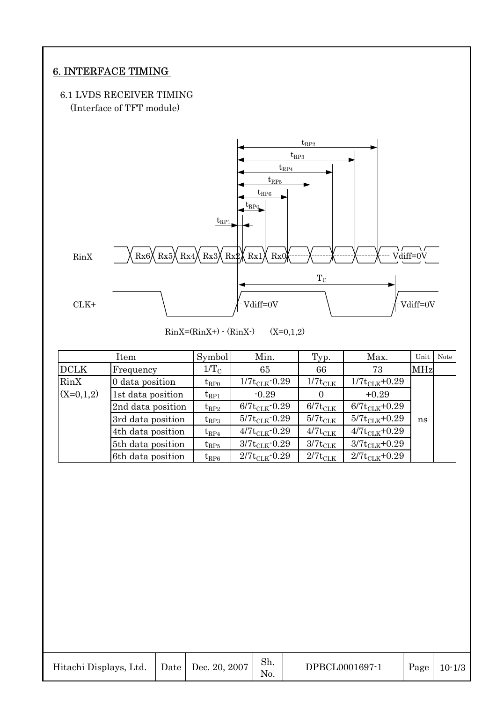# 6. INTERFACE TIMING

#### 6.1 LVDS RECEIVER TIMING (Interface of TFT module)



 $\text{RinX}=(\text{RinX+}) \cdot (\text{RinX-})$  (X=0,1,2)

|             | Item              | Symbol             | Min.                      | Typ.                | Max.                | Unit       | Note |
|-------------|-------------------|--------------------|---------------------------|---------------------|---------------------|------------|------|
| <b>DCLK</b> | Frequency         | $1/T_{\rm C}$      | 65                        | 66                  | 73                  | <b>MHz</b> |      |
| RinX        | 0 data position   | ${\rm t_{RPO}}$    | $1/7t_{CLK}$ -0.29        | $1/7t_{\rm CLK}$    | $1/7t_{CLK}+0.29$   |            |      |
| $(X=0,1,2)$ | 1st data position | $t_{RP1}$          | $-0.29$                   | $\theta$            | $+0.29$             |            |      |
|             | 2nd data position | ${\rm t_{RP2}}$    | $6/7t_{\text{CLK}}$ -0.29 | $6/7t_{CLK}$        | $6/7t_{CLK}$ +0.29  |            |      |
|             | 3rd data position | ${\rm t_{RP3}}$    | $5/7t_{\text{CLK}}$ -0.29 | $5/7t_{\text{CLK}}$ | $5/7t_{CLK} + 0.29$ | ns         |      |
|             | 4th data position | ${\rm t_{RP4}}$    | $4/7t_{CLK}$ -0.29        | $4/7t_{\text{CLK}}$ | $4/7t_{CLK}+0.29$   |            |      |
|             | 5th data position | $\mathrm{t_{RP5}}$ | $3/7t_{\text{CLK}}$ -0.29 | $3/7t_{\rm CLK}$    | $3/7t_{CLK} + 0.29$ |            |      |
|             | 6th data position | ${\rm t_{RP6}}$    | $2/7t_{\text{CLK}}$ -0.29 | $2/7t_{\text{CLK}}$ | $2/7t_{CLK} + 0.29$ |            |      |

| Hitachi Displays, Ltd. |  | $\vert$ Date $\vert$ Dec. 20, 2007 | Sh.<br>No. | DPBCL0001697-1 | Page | $10 - 1/3$ |
|------------------------|--|------------------------------------|------------|----------------|------|------------|
|------------------------|--|------------------------------------|------------|----------------|------|------------|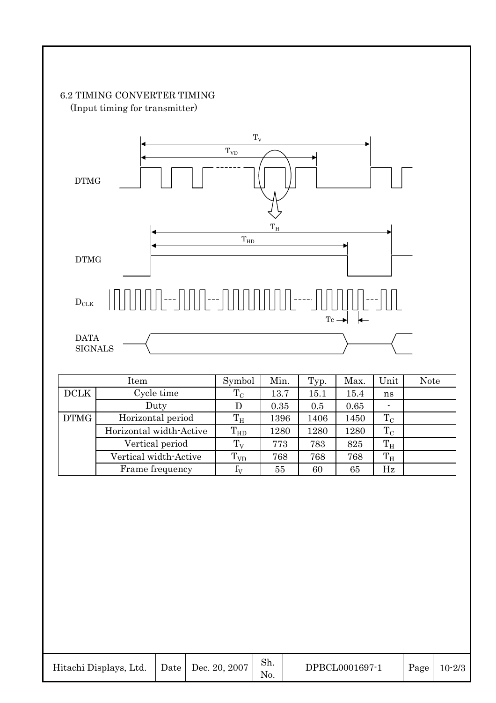## 6.2 TIMING CONVERTER TIMING (Input timing for transmitter)



| Item        |                         | Symbol          | Min. | Typ. | Max. | Unit        | <b>Note</b> |
|-------------|-------------------------|-----------------|------|------|------|-------------|-------------|
| <b>DCLK</b> | Cycle time              | $\rm T_C$       | 13.7 | 15.1 | 15.4 | ns          |             |
|             | Duty                    |                 | 0.35 | 0.5  | 0.65 |             |             |
| <b>DTMG</b> | Horizontal period       | $T_{\rm H}$     | 1396 | 1406 | 1450 | $T_{\rm C}$ |             |
|             | Horizontal width-Active | $T_{HD}$        | 1280 | 1280 | 1280 | $\rm T_C$   |             |
|             | Vertical period         | $T_V$           | 773  | 783  | 825  | $T_{\rm H}$ |             |
|             | Vertical width-Active   | $T_{VD}$        | 768  | 768  | 768  | $T_{\rm H}$ |             |
|             | Frame frequency         | $\rm f_{\rm V}$ | 55   | 60   | 65   | Hz          |             |

| Hitachi Displays, Ltd.   Date   Dec. 20, 2007 |  |  | Sh. | DPBCL0001697-1 |  | Page $10-2/3$ |
|-----------------------------------------------|--|--|-----|----------------|--|---------------|
|-----------------------------------------------|--|--|-----|----------------|--|---------------|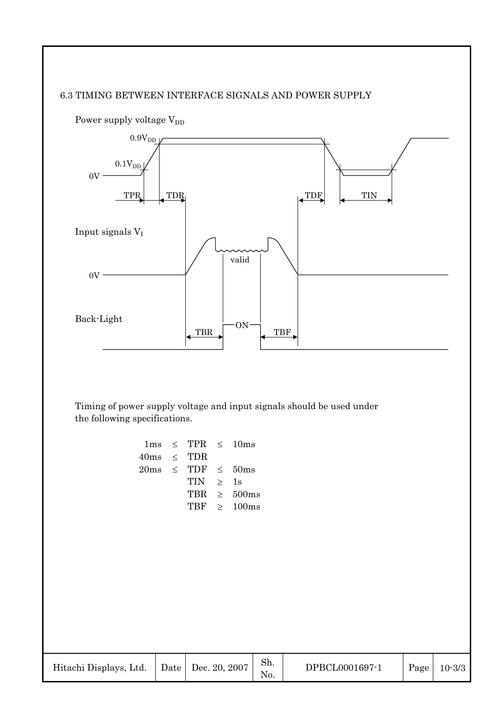#### 6.3 TIMING BETWEEN INTERFACE SIGNALS AND POWER SUPPLY



Timing of power supply voltage and input signals should be used under the following specifications.

|                 | $1 \text{ms} \leq \text{TPR} \leq 10 \text{ms}$                    |               |                  |
|-----------------|--------------------------------------------------------------------|---------------|------------------|
| $40ms \leq TDR$ |                                                                    |               |                  |
|                 | $20\text{ms} \quad\leq\quad \text{TDF} \quad\leq\quad 50\text{ms}$ |               |                  |
|                 | TIN                                                                | $\rightarrow$ | 1s               |
|                 | TBR.                                                               |               | $\geq 500$ ms    |
|                 |                                                                    |               | TBF $\geq$ 100ms |
|                 |                                                                    |               |                  |

|  | Hitachi Displays, Ltd. |  | Date   Dec. 20, 2007 | Sh. | DPBCL0001697-1 | Page | $10 - 3/3$ |
|--|------------------------|--|----------------------|-----|----------------|------|------------|
|--|------------------------|--|----------------------|-----|----------------|------|------------|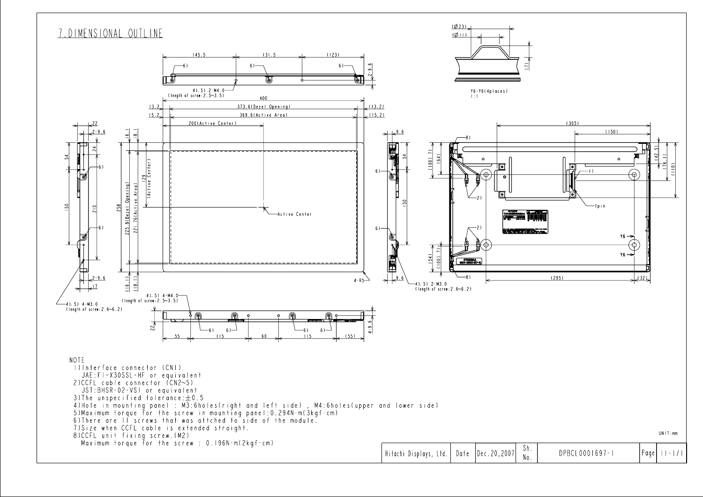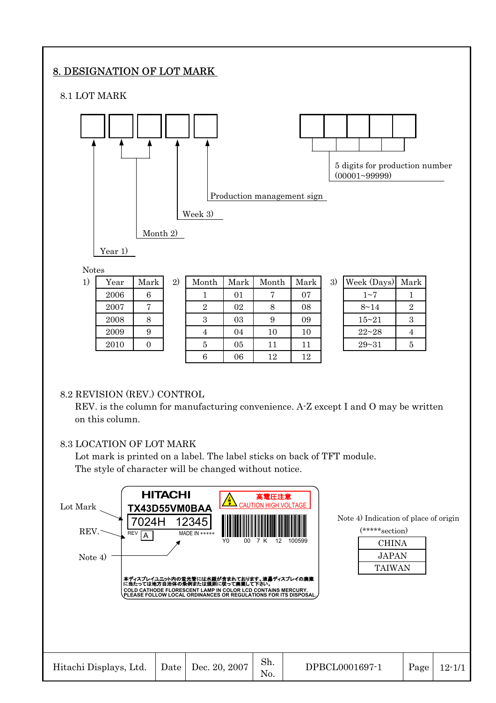# 8. DESIGNATION OF LOT MARK

8.1 LOT MARK



#### 8.2 REVISION (REV.) CONTROL

REV. is the column for manufacturing convenience. A-Z except I and O may be written on this column.

### 8.3 LOCATION OF LOT MARK

Lot mark is printed on a label. The label sticks on back of TFT module. The style of character will be changed without notice.

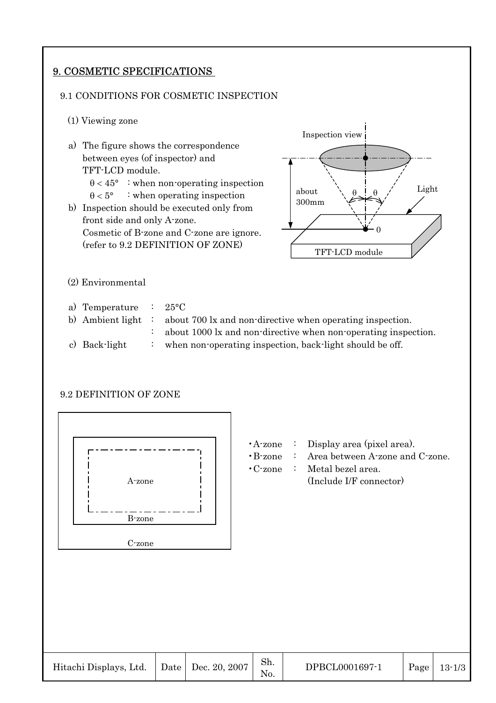# 9. COSMETIC SPECIFICATIONS

#### 9.1 CONDITIONS FOR COSMETIC INSPECTION

- (1) Viewing zone
- a) The figure shows the correspondence between eyes (of inspector) and TFT-LCD module.  $\theta$  < 45° : when non-operating inspection  $\theta < 5^{\circ}$  : when operating inspection b) Inspection should be executed only from front side and only A-zone. Cosmetic of B-zone and C-zone are ignore. (refer to 9.2 DEFINITION OF ZONE) (2) Environmental a) Temperature : 25°C b) Ambient light : about 700 lx and non-directive when operating inspection. : about 1000 lx and non-directive when non-operating inspection. TFT-LCD module Inspection view  $\theta$ 0 about 300mm  $\theta$
- c) Back-light : when non-operating inspection, back-light should be off.

#### 9.2 DEFINITION OF ZONE



- •A-zone : Display area (pixel area).
- •B-zone : Area between A-zone and C-zone.

Light

•C-zone : Metal bezel area. A-zone (Include I/F connector)

| Hitachi Displays, Ltd. |  | Date   Dec. 20, 2007 | Sh.<br>N <sub>O</sub> | DPBCL0001697-1 | Page | $13 - 1/3$ |
|------------------------|--|----------------------|-----------------------|----------------|------|------------|
|------------------------|--|----------------------|-----------------------|----------------|------|------------|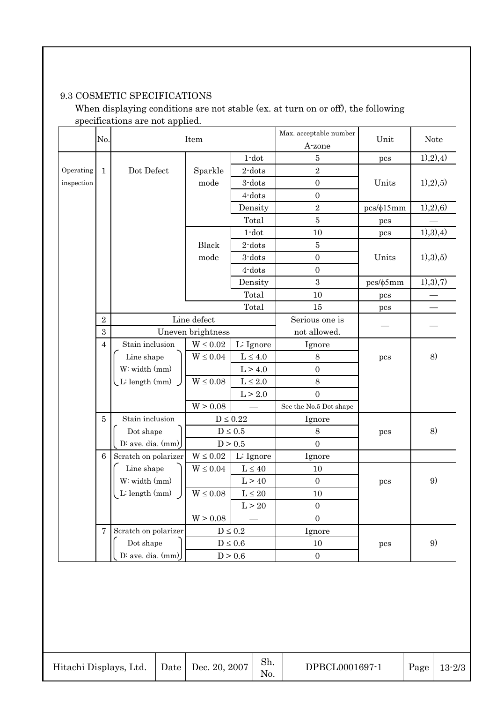# 9.3 COSMETIC SPECIFICATIONS

When displaying conditions are not stable (ex. at turn on or off), the following specifications are not applied.

| Operating<br>inspection | No.             |                      | Item              |                       |                        | Unit           | <b>Note</b> |
|-------------------------|-----------------|----------------------|-------------------|-----------------------|------------------------|----------------|-------------|
|                         |                 |                      | $1$ -dot          |                       | A-zone                 |                |             |
|                         |                 |                      |                   |                       | $\bf 5$                | pcs            | 1), 2), 4)  |
|                         | $\mathbf{1}$    | Dot Defect           | Sparkle           | $2$ -dots             | $\sqrt{2}$             |                |             |
|                         |                 |                      | mode              | 3-dots                | $\boldsymbol{0}$       | Units          | 1), 2), 5)  |
|                         |                 |                      |                   | 4-dots                | $\boldsymbol{0}$       |                |             |
|                         |                 |                      |                   | Density               | $\sqrt{2}$             | $pcs/\phi15mm$ | (1), 2), 6) |
|                         |                 |                      |                   | Total                 | $\overline{5}$         | pcs            |             |
|                         |                 |                      |                   | $1$ -dot              | 10                     | pcs            | (1), 3), 4) |
|                         |                 |                      | Black             | $2$ -dots             | $\bf 5$                |                |             |
|                         |                 |                      | mode              | 3-dots                | $\boldsymbol{0}$       | Units          | 1), 3), 5)  |
|                         |                 |                      |                   | 4-dots                | $\overline{0}$         |                |             |
|                         |                 |                      |                   | Density               | 3                      | $pcs/\phi 5mm$ | 1), 3), 7)  |
|                         |                 |                      | Total             |                       | 10                     | pcs            |             |
|                         |                 |                      |                   | Total                 | 15                     | pcs            |             |
|                         | $\overline{2}$  |                      | Line defect       |                       | Serious one is         |                |             |
|                         | 3               |                      | Uneven brightness |                       | not allowed.           |                |             |
|                         | $\overline{4}$  | Stain inclusion      | $W \leq 0.02$     | L: Ignore             | Ignore                 |                |             |
|                         |                 | Line shape           | $W \leq 0.04$     | $L \leq 4.0$          | 8                      | pcs            | 8)          |
|                         |                 | W: width (mm)        |                   | L > 4.0               | $\overline{0}$         |                |             |
|                         |                 | $L$ : length (mm)    | $W \leq 0.08$     | $L\leq 2.0$           | $8\,$                  |                |             |
|                         |                 |                      |                   | L > 2.0               | $\overline{0}$         |                |             |
|                         |                 |                      | W > 0.08          |                       | See the No.5 Dot shape |                |             |
|                         | $\bf 5$         | Stain inclusion      |                   | $D \leq 0.22$         | Ignore                 |                |             |
|                         |                 | Dot shape            |                   | $D\leq0.5$            | $8\,$                  | pcs            | 8)          |
|                         |                 | D: ave. dia. $(mm)$  |                   | D > 0.5               | $\overline{0}$         |                |             |
|                         | $6\phantom{.}6$ | Scratch on polarizer | $W \leq 0.02$     | L: Ignore             | Ignore                 |                |             |
|                         |                 | Line shape           | $W \leq 0.04$     | $L\leq 40$            | $10\,$                 |                |             |
|                         |                 | W: width (mm)        |                   | $\mathrm{L} > 40$     | $\boldsymbol{0}$       | pcs            | 9)          |
|                         |                 | L: length (mm)       | $W \leq 0.08$     | $L\leq 20$            | $10\,$                 |                |             |
|                         |                 |                      |                   | $\mathrm{L} \geq 20$  | $\boldsymbol{0}$       |                |             |
|                         |                 |                      | W > 0.08          |                       | $\overline{0}$         |                |             |
|                         | $\overline{7}$  | Scratch on polarizer |                   | $D\leq 0.2$           | Ignore                 |                |             |
|                         |                 | Dot shape            |                   | $D\leq 0.6$           | $10\,$                 | pcs            | 9)          |
|                         |                 | D: ave. dia. (mm)    |                   | $\mathrm{D} \geq 0.6$ | $\boldsymbol{0}$       |                |             |

| Hitachi Displays, Ltd. |  | Date   Dec. 20, 2007 | Sh. | DPBCL0001697-1 | Page | $13 - 2/3$ |
|------------------------|--|----------------------|-----|----------------|------|------------|
|------------------------|--|----------------------|-----|----------------|------|------------|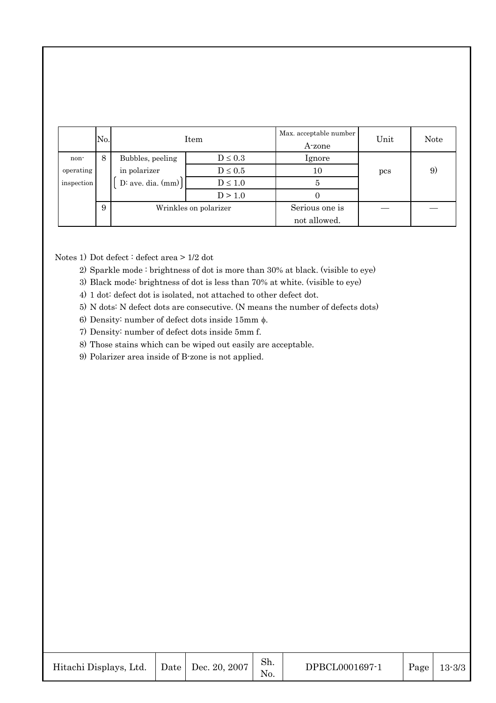|            | No. | Item                  |              | Max. acceptable number<br>A-zone | Unit | <b>Note</b> |
|------------|-----|-----------------------|--------------|----------------------------------|------|-------------|
| non-       | 8   | Bubbles, peeling      | $D \leq 0.3$ | <i>lgnore</i>                    |      |             |
| operating  |     | in polarizer          | $D \leq 0.5$ | 10                               | pcs  | 9           |
| inspection |     | $D:$ ave. dia. $(mm)$ | $D\leq1.0$   |                                  |      |             |
|            |     |                       | D > 1.0      |                                  |      |             |
|            | 9   | Wrinkles on polarizer |              | Serious one is                   |      |             |
|            |     |                       |              | not allowed.                     |      |             |

Notes 1) Dot defect : defect area > 1/2 dot

- 2) Sparkle mode : brightness of dot is more than 30% at black. (visible to eye)
- 3) Black mode: brightness of dot is less than 70% at white. (visible to eye)
- 4) 1 dot: defect dot is isolated, not attached to other defect dot.
- 5) N dots: N defect dots are consecutive. (N means the number of defects dots)
- 6) Density: number of defect dots inside 15mm  $\phi$ .
- 7) Density: number of defect dots inside 5mm f.
- 8) Those stains which can be wiped out easily are acceptable.
- 9) Polarizer area inside of B-zone is not applied.

| Hitachi Displays, Ltd.   Date   Dec. 20, 2007 |  |  | Sh. | DPBCL0001697-1 |  | Page   $13-3/3$ |
|-----------------------------------------------|--|--|-----|----------------|--|-----------------|
|-----------------------------------------------|--|--|-----|----------------|--|-----------------|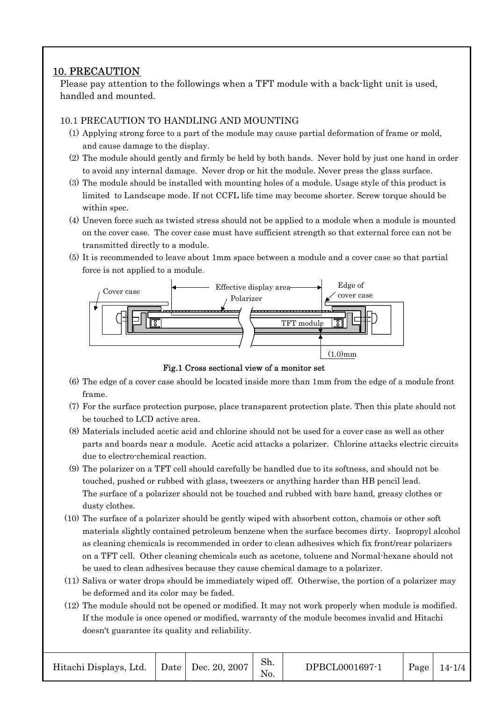## 10. PRECAUTION

Please pay attention to the followings when a TFT module with a back-light unit is used, handled and mounted.

#### 10.1 PRECAUTION TO HANDLING AND MOUNTING

- (1) Applying strong force to a part of the module may cause partial deformation of frame or mold, and cause damage to the display.
- (2) The module should gently and firmly be held by both hands. Never hold by just one hand in order to avoid any internal damage. Never drop or hit the module. Never press the glass surface.
- (3) The module should be installed with mounting holes of a module. Usage style of this product is limited to Landscape mode. If not CCFL life time may become shorter. Screw torque should be within spec.
- (4) Uneven force such as twisted stress should not be applied to a module when a module is mounted on the cover case. The cover case must have sufficient strength so that external force can not be transmitted directly to a module.
- (5) It is recommended to leave about 1mm space between a module and a cover case so that partial force is not applied to a module.



Fig.1 Cross sectional view of a monitor set

- (6) The edge of a cover case should be located inside more than 1mm from the edge of a module front frame.
- (7) For the surface protection purpose, place transparent protection plate. Then this plate should not be touched to LCD active area.
- (8) Materials included acetic acid and chlorine should not be used for a cover case as well as other parts and boards near a module. Acetic acid attacks a polarizer. Chlorine attacks electric circuits due to electro-chemical reaction.
- (9) The polarizer on a TFT cell should carefully be handled due to its softness, and should not be touched, pushed or rubbed with glass, tweezers or anything harder than HB pencil lead. The surface of a polarizer should not be touched and rubbed with bare hand, greasy clothes or dusty clothes.
- (10) The surface of a polarizer should be gently wiped with absorbent cotton, chamois or other soft materials slightly contained petroleum benzene when the surface becomes dirty. Isopropyl alcohol as cleaning chemicals is recommended in order to clean adhesives which fix front/rear polarizers on a TFT cell. Other cleaning chemicals such as acetone, toluene and Normal-hexane should not be used to clean adhesives because they cause chemical damage to a polarizer.
- (11) Saliva or water drops should be immediately wiped off. Otherwise, the portion of a polarizer may be deformed and its color may be faded.
- (12) The module should not be opened or modified. It may not work properly when module is modified. If the module is once opened or modified, warranty of the module becomes invalid and Hitachi doesn't guarantee its quality and reliability.

| Hitachi Displays, Ltd.   Date   Dec. 20, 2007 |  |  | Sh. | DPBCL0001697-1 |  | $\vert$ Page $\vert$ 14-1/4 |
|-----------------------------------------------|--|--|-----|----------------|--|-----------------------------|
|-----------------------------------------------|--|--|-----|----------------|--|-----------------------------|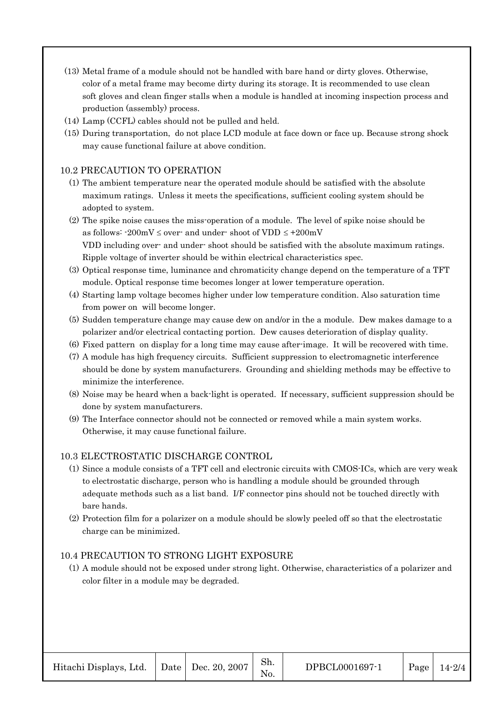- (13) Metal frame of a module should not be handled with bare hand or dirty gloves. Otherwise, color of a metal frame may become dirty during its storage. It is recommended to use clean soft gloves and clean finger stalls when a module is handled at incoming inspection process and production (assembly) process.
- (14) Lamp (CCFL) cables should not be pulled and held.
- (15) During transportation, do not place LCD module at face down or face up. Because strong shock may cause functional failure at above condition.

#### 10.2 PRECAUTION TO OPERATION

- (1) The ambient temperature near the operated module should be satisfied with the absolute maximum ratings. Unless it meets the specifications, sufficient cooling system should be adopted to system.
- (2) The spike noise causes the miss-operation of a module. The level of spike noise should be as follows:  $-200mV \le$  over- and under-shoot of VDD  $\le +200mV$ VDD including over- and under- shoot should be satisfied with the absolute maximum ratings. Ripple voltage of inverter should be within electrical characteristics spec.
- (3) Optical response time, luminance and chromaticity change depend on the temperature of a TFT module. Optical response time becomes longer at lower temperature operation.
- (4) Starting lamp voltage becomes higher under low temperature condition. Also saturation time from power on will become longer.
- (5) Sudden temperature change may cause dew on and/or in the a module. Dew makes damage to a polarizer and/or electrical contacting portion. Dew causes deterioration of display quality.
- (6) Fixed pattern on display for a long time may cause after-image. It will be recovered with time.
- (7) A module has high frequency circuits. Sufficient suppression to electromagnetic interference should be done by system manufacturers. Grounding and shielding methods may be effective to minimize the interference.
- (8) Noise may be heard when a back-light is operated. If necessary, sufficient suppression should be done by system manufacturers.
- (9) The Interface connector should not be connected or removed while a main system works. Otherwise, it may cause functional failure.

#### 10.3 ELECTROSTATIC DISCHARGE CONTROL

- (1) Since a module consists of a TFT cell and electronic circuits with CMOS-ICs, which are very weak to electrostatic discharge, person who is handling a module should be grounded through adequate methods such as a list band. I/F connector pins should not be touched directly with bare hands.
- (2) Protection film for a polarizer on a module should be slowly peeled off so that the electrostatic charge can be minimized.

#### 10.4 PRECAUTION TO STRONG LIGHT EXPOSURE

(1) A module should not be exposed under strong light. Otherwise, characteristics of a polarizer and color filter in a module may be degraded.

| Hitachi Displays, Ltd. |  | Date   Dec. 20, 2007 | Sh.<br>N0. | DPBCL0001697-1 | Page | $14 - 2/4$ |
|------------------------|--|----------------------|------------|----------------|------|------------|
|------------------------|--|----------------------|------------|----------------|------|------------|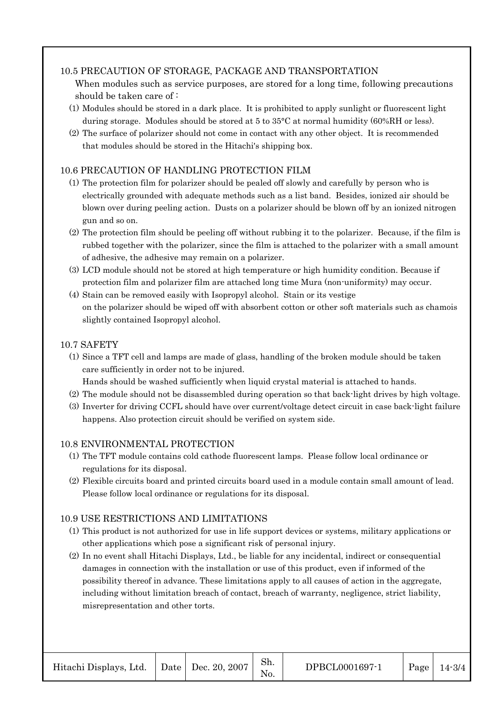#### 10.5 PRECAUTION OF STORAGE, PACKAGE AND TRANSPORTATION

- When modules such as service purposes, are stored for a long time, following precautions should be taken care of :
- (1) Modules should be stored in a dark place. It is prohibited to apply sunlight or fluorescent light during storage. Modules should be stored at 5 to 35°C at normal humidity (60%RH or less).
- (2) The surface of polarizer should not come in contact with any other object. It is recommended that modules should be stored in the Hitachi's shipping box.

#### 10.6 PRECAUTION OF HANDLING PROTECTION FILM

- (1) The protection film for polarizer should be pealed off slowly and carefully by person who is electrically grounded with adequate methods such as a list band. Besides, ionized air should be blown over during peeling action. Dusts on a polarizer should be blown off by an ionized nitrogen gun and so on.
- (2) The protection film should be peeling off without rubbing it to the polarizer. Because, if the film is rubbed together with the polarizer, since the film is attached to the polarizer with a small amount of adhesive, the adhesive may remain on a polarizer.
- (3) LCD module should not be stored at high temperature or high humidity condition. Because if protection film and polarizer film are attached long time Mura (non-uniformity) may occur.
- (4) Stain can be removed easily with Isopropyl alcohol. Stain or its vestige on the polarizer should be wiped off with absorbent cotton or other soft materials such as chamois slightly contained Isopropyl alcohol.

#### 10.7 SAFETY

- (1) Since a TFT cell and lamps are made of glass, handling of the broken module should be taken care sufficiently in order not to be injured.
	- Hands should be washed sufficiently when liquid crystal material is attached to hands.
- (2) The module should not be disassembled during operation so that back-light drives by high voltage.
- (3) Inverter for driving CCFL should have over current/voltage detect circuit in case back-light failure happens. Also protection circuit should be verified on system side.

#### 10.8 ENVIRONMENTAL PROTECTION

- (1) The TFT module contains cold cathode fluorescent lamps. Please follow local ordinance or regulations for its disposal.
- (2) Flexible circuits board and printed circuits board used in a module contain small amount of lead. Please follow local ordinance or regulations for its disposal.

#### 10.9 USE RESTRICTIONS AND LIMITATIONS

- (1) This product is not authorized for use in life support devices or systems, military applications or other applications which pose a significant risk of personal injury.
- (2) In no event shall Hitachi Displays, Ltd., be liable for any incidental, indirect or consequential damages in connection with the installation or use of this product, even if informed of the possibility thereof in advance. These limitations apply to all causes of action in the aggregate, including without limitation breach of contact, breach of warranty, negligence, strict liability, misrepresentation and other torts.

| Hitachi Displays, Ltd.   Date   Dec. 20, 2007 |  |  | Sh. | DPBCL0001697-1 | Page | $14 - 3/4$ |
|-----------------------------------------------|--|--|-----|----------------|------|------------|
|-----------------------------------------------|--|--|-----|----------------|------|------------|